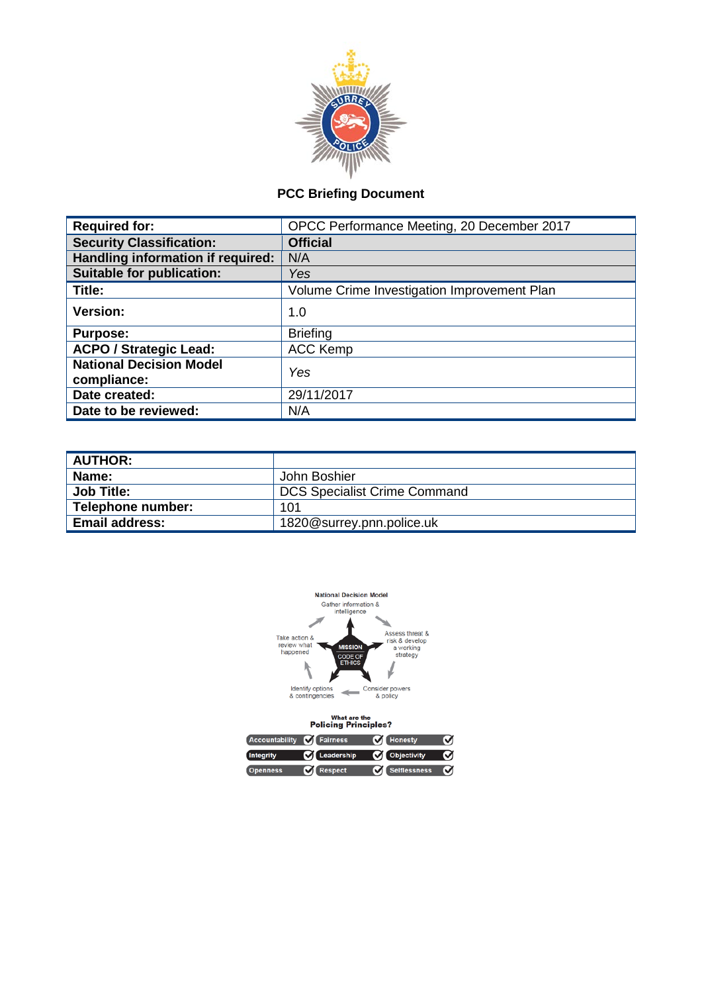

## **PCC Briefing Document**

| <b>Required for:</b>                          | OPCC Performance Meeting, 20 December 2017  |  |  |  |
|-----------------------------------------------|---------------------------------------------|--|--|--|
| <b>Security Classification:</b>               | <b>Official</b>                             |  |  |  |
| Handling information if required:             | N/A                                         |  |  |  |
| <b>Suitable for publication:</b>              | Yes                                         |  |  |  |
| Title:                                        | Volume Crime Investigation Improvement Plan |  |  |  |
| Version:                                      | 1.0                                         |  |  |  |
| <b>Purpose:</b>                               | <b>Briefing</b>                             |  |  |  |
| <b>ACPO / Strategic Lead:</b>                 | <b>ACC Kemp</b>                             |  |  |  |
| <b>National Decision Model</b><br>compliance: | Yes                                         |  |  |  |
| Date created:                                 | 29/11/2017                                  |  |  |  |
| Date to be reviewed:                          | N/A                                         |  |  |  |
|                                               |                                             |  |  |  |

| <b>AUTHOR:</b>        |                                     |
|-----------------------|-------------------------------------|
| Name:                 | John Boshier                        |
| <b>Job Title:</b>     | <b>DCS Specialist Crime Command</b> |
| Telephone number:     | 101                                 |
| <b>Email address:</b> | 1820@surrey.pnn.police.uk           |



| Accountability <b>M</b> Fairness |                            | <b>M</b> Honesty | о |
|----------------------------------|----------------------------|------------------|---|
| Integrity                        | C Leadership C Objectivity |                  | M |
| <b>Openness</b>                  | <b>C</b> Respect           | Selflessness C   |   |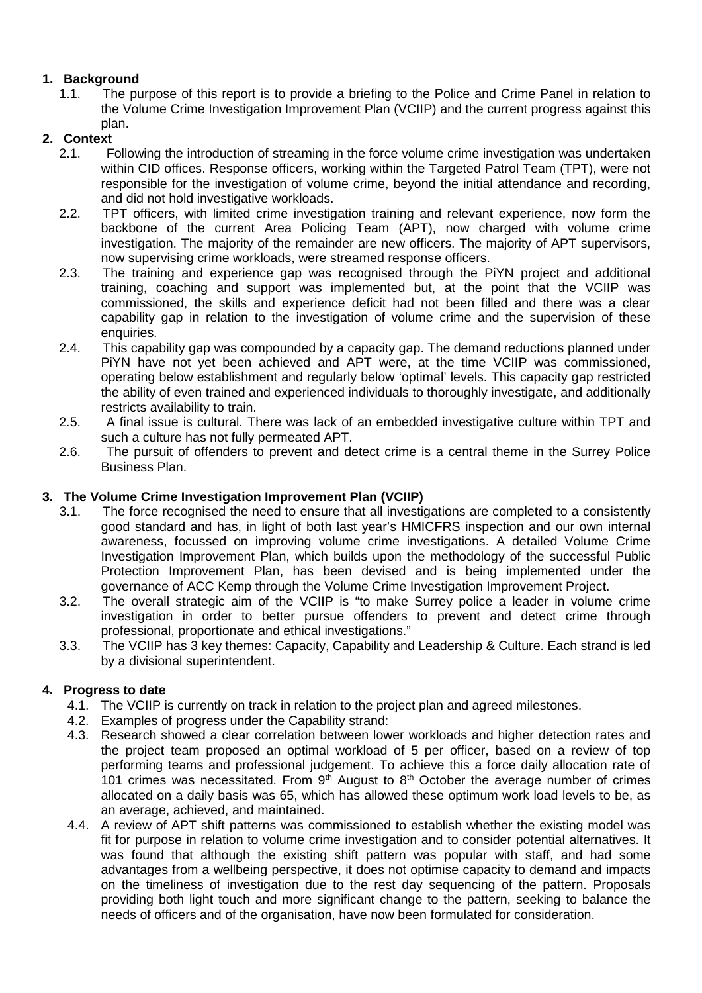### **1. Background**

1.1.The purpose of this report is to provide a briefing to the Police and Crime Panel in relation to the Volume Crime Investigation Improvement Plan (VCIIP) and the current progress against this plan.

# **2. Context**

- 2.1. Following the introduction of streaming in the force volume crime investigation was undertaken within CID offices. Response officers, working within the Targeted Patrol Team (TPT), were not responsible for the investigation of volume crime, beyond the initial attendance and recording, and did not hold investigative workloads.
- 2.2. TPT officers, with limited crime investigation training and relevant experience, now form the backbone of the current Area Policing Team (APT), now charged with volume crime investigation. The majority of the remainder are new officers. The majority of APT supervisors, now supervising crime workloads, were streamed response officers.
- 2.3. The training and experience gap was recognised through the PiYN project and additional training, coaching and support was implemented but, at the point that the VCIIP was commissioned, the skills and experience deficit had not been filled and there was a clear capability gap in relation to the investigation of volume crime and the supervision of these enquiries.
- 2.4. This capability gap was compounded by a capacity gap. The demand reductions planned under PiYN have not yet been achieved and APT were, at the time VCIIP was commissioned, operating below establishment and regularly below 'optimal' levels. This capacity gap restricted the ability of even trained and experienced individuals to thoroughly investigate, and additionally restricts availability to train.
- 2.5. A final issue is cultural. There was lack of an embedded investigative culture within TPT and such a culture has not fully permeated APT.
- 2.6. The pursuit of offenders to prevent and detect crime is a central theme in the Surrey Police Business Plan.

### **3. The Volume Crime Investigation Improvement Plan (VCIIP)**

- 3.1. The force recognised the need to ensure that all investigations are completed to a consistently good standard and has, in light of both last year's HMICFRS inspection and our own internal awareness, focussed on improving volume crime investigations. A detailed Volume Crime Investigation Improvement Plan, which builds upon the methodology of the successful Public Protection Improvement Plan, has been devised and is being implemented under the governance of ACC Kemp through the Volume Crime Investigation Improvement Project.
- 3.2. The overall strategic aim of the VCIIP is "to make Surrey police a leader in volume crime investigation in order to better pursue offenders to prevent and detect crime through professional, proportionate and ethical investigations."
- 3.3. The VCIIP has 3 key themes: Capacity, Capability and Leadership & Culture. Each strand is led by a divisional superintendent.

### **4. Progress to date**

- 4.1. The VCIIP is currently on track in relation to the project plan and agreed milestones.
- 4.2. Examples of progress under the Capability strand:
- 4.3. Research showed a clear correlation between lower workloads and higher detection rates and the project team proposed an optimal workload of 5 per officer, based on a review of top performing teams and professional judgement. To achieve this a force daily allocation rate of 101 crimes was necessitated. From  $9<sup>th</sup>$  August to  $8<sup>th</sup>$  October the average number of crimes allocated on a daily basis was 65, which has allowed these optimum work load levels to be, as an average, achieved, and maintained.
- 4.4. A review of APT shift patterns was commissioned to establish whether the existing model was fit for purpose in relation to volume crime investigation and to consider potential alternatives. It was found that although the existing shift pattern was popular with staff, and had some advantages from a wellbeing perspective, it does not optimise capacity to demand and impacts on the timeliness of investigation due to the rest day sequencing of the pattern. Proposals providing both light touch and more significant change to the pattern, seeking to balance the needs of officers and of the organisation, have now been formulated for consideration.